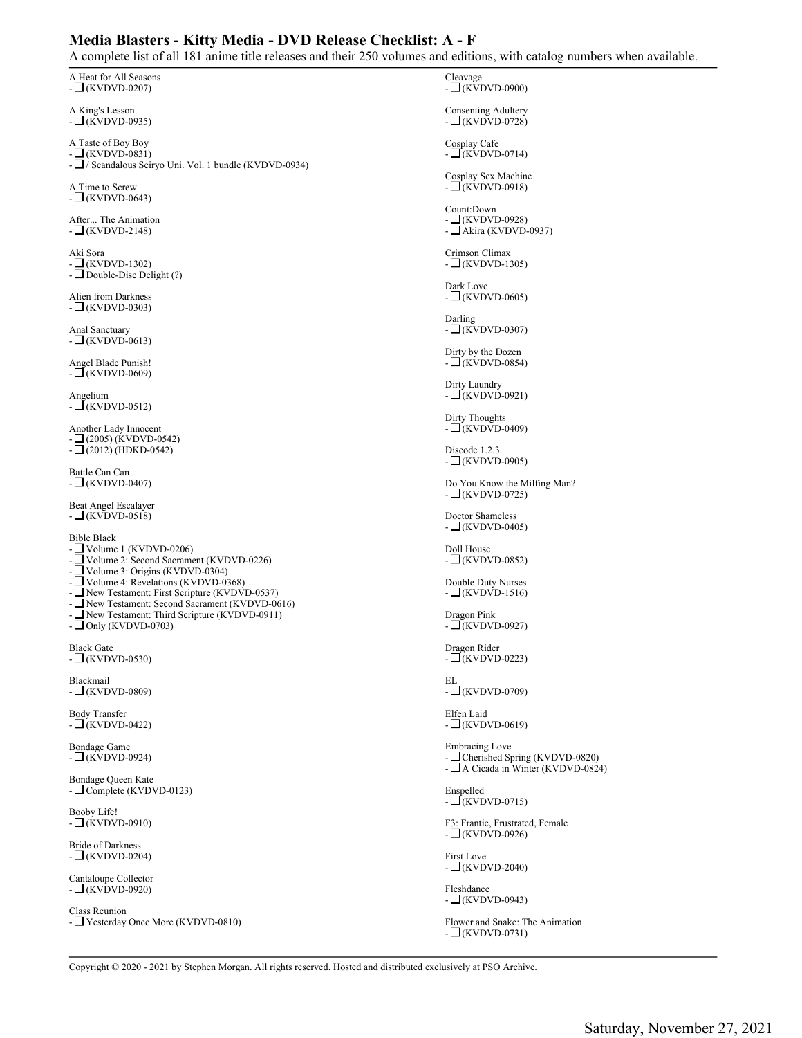## **Media Blasters - Kitty Media - DVD Release Checklist: A - F**

A complete list of all 181 anime title releases and their 250 volumes and editions, with catalog numbers when available.

A Heat for All Seasons  $- \square$ (KVDVD-0207)

A King's Lesson  $-L(KVDVD-0935)$ 

A Taste of Boy Boy  $-\underline{\square}$ (KVDVD-0831)  $- \Box$  / Scandalous Seiryo Uni. Vol. 1 bundle (KVDVD-0934)

A Time to Screw  $-$  (KVDVD-0643)

After... The Animation  $- \square$ (KVDVD-2148)

Aki Sora - (KVDVD-1302) - Double-Disc Delight (?)

Alien from Darkness  $-\square$ (KVDVD-0303)

Anal Sanctuary  $- \square$ (KVDVD-0613)

Angel Blade Punish!  $-\square$ (KVDVD-0609)

Angelium  $-L(KVDVD-0512)$ 

Another Lady Innocent  $\Box$ (2005) (KVDVD-0542)  $- \Box (2012)$  (HDKD-0542)

Battle Can Can  $- \square$ (KVDVD-0407)

Beat Angel Escalayer  $-L(KVDVD-0518)$ 

Bible Black

- Volume 1 (KVDVD-0206)

- Volume 2: Second Sacrament (KVDVD-0226)

- Volume 3: Origins (KVDVD-0304)

- $\Box$  Volume 4: Revelations (KVDVD-0368)
- New Testament: First Scripture (KVDVD-0537)
- New Testament: Second Sacrament (KVDVD-0616)
- New Testament: Third Scripture (KVDVD-0911)  $-$  Only (KVDVD-0703)

Black Gate

 $- \Box$ (KVDVD-0530)

Blackmail  $-\square$ (KVDVD-0809)

Body Transfer  $-\square$ (KVDVD-0422)

Bondage Game  $-L(KVDVD-0924)$ 

Bondage Queen Kate - Complete (KVDVD-0123)

Booby Life!  $- \Box$ (KVDVD-0910)

Bride of Darkness  $-L(KVDVD-0204)$ 

Cantaloupe Collector  $-\square$ (KVDVD-0920)

Class Reunion - Yesterday Once More (KVDVD-0810) Cleavage - (KVDVD-0900)

Consenting Adultery  $-L(KVDVD-0728)$ 

Cosplay Cafe  $-L$  $(KVDVD-0714)$ 

Cosplay Sex Machine  $-\square$ (KVDVD-0918)

Count:Down  $\Box$ (KVDVD-0928) - Akira (KVDVD-0937)

Crimson Climax  $-\square$ (KVDVD-1305)

Dark Love  $- \square$ (KVDVD-0605)

Darling  $- \square$ (KVDVD-0307)

Dirty by the Dozen  $-\square$ (KVDVD-0854)

Dirty Laundry  $-$  (KVDVD-0921)

Dirty Thoughts  $-\square$ (KVDVD-0409)

Discode 1.2.3  $- \square$ (KVDVD-0905)

Do You Know the Milfing Man?  $-L(KVDVD-0725)$ 

Doctor Shameless  $-L(KVDVD-0405)$ 

Doll House  $-\square$ (KVDVD-0852)

Double Duty Nurses  $-\square$ (KVDVD-1516)

Dragon Pink  $-\overline{U}$ (KVDVD-0927)

Dragon Rider  $-\square$ (KVDVD-0223)

EL  $-\square$ (KVDVD-0709)

Elfen Laid  $- \square$ (KVDVD-0619)

Embracing Love - Cherished Spring (KVDVD-0820)  $-\square$  A Cicada in Winter (KVDVD-0824)

Enspelled  $-\square$ (KVDVD-0715)

F3: Frantic, Frustrated, Female  $-L(KVDVD-0926)$ 

First Love  $-\square$ (KVDVD-2040)

Fleshdance  $-\square$ (KVDVD-0943)

Flower and Snake: The Animation  $-\square$ (KVDVD-0731)

Copyright © 2020 - 2021 by Stephen Morgan. All rights reserved. Hosted and distributed exclusively at PSO Archive.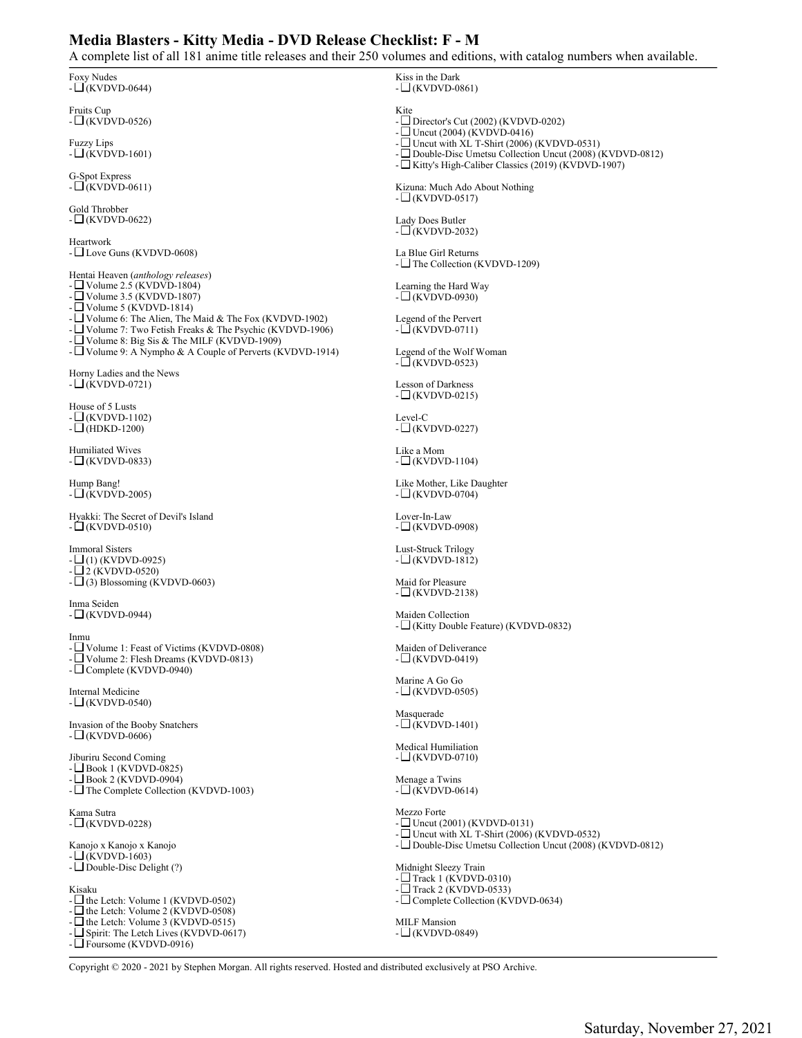## **Media Blasters - Kitty Media - DVD Release Checklist: F - M**

A complete list of all 181 anime title releases and their 250 volumes and editions, with catalog numbers when available.

| $\frac{1}{2}$ and $\frac{1}{2}$ and $\frac{1}{2}$ and $\frac{1}{2}$ and $\frac{1}{2}$ and $\frac{1}{2}$ and $\frac{1}{2}$ and $\frac{1}{2}$ and $\frac{1}{2}$                                                            |                                                                                                                                                                                      |
|--------------------------------------------------------------------------------------------------------------------------------------------------------------------------------------------------------------------------|--------------------------------------------------------------------------------------------------------------------------------------------------------------------------------------|
| Foxy Nudes<br>$-\square$ (KVDVD-0644)                                                                                                                                                                                    | Kiss in the Dark<br>$-L(KVDVD-0861)$                                                                                                                                                 |
| <b>Fruits Cup</b><br>$-L$ (KVDVD-0526)                                                                                                                                                                                   | Kite<br>- $\Box$ Director's Cut (2002) (KVDVD-0202)<br>- $\Box$ Uncut (2004) (KVDVD-0416)                                                                                            |
| <b>Fuzzy Lips</b><br>$-L(KVDVD-1601)$                                                                                                                                                                                    | - $\Box$ Uncut with XL T-Shirt (2006) (KVDVD-0531)<br>- $\Box$ Double-Disc Umetsu Collection Uncut (2008) (KVDVD-0812)<br>- $\Box$ Kitty's High-Caliber Classics (2019) (KVDVD-1907) |
| G-Spot Express<br>$-L(KVDVD-0611)$                                                                                                                                                                                       | Kizuna: Much Ado About Nothing<br>$-L$ (KVDVD-0517)                                                                                                                                  |
| Gold Throbber<br>$-\square$ (KVDVD-0622)                                                                                                                                                                                 | Lady Does Butler<br>$-L$ (KVDVD-2032)                                                                                                                                                |
| Heartwork<br>- $\square$ Love Guns (KVDVD-0608)                                                                                                                                                                          | La Blue Girl Returns<br>- $\Box$ The Collection (KVDVD-1209)                                                                                                                         |
| Hentai Heaven (anthology releases)<br>- $\Box$ Volume 2.5 (KVDVD-1804)<br>- $\Box$ Volume 3.5 (KVDVD-1807)                                                                                                               | Learning the Hard Way<br>$-L(KVDVD-0930)$                                                                                                                                            |
| - $\Box$ Volume 5 (KVDVD-1814)<br>- $\Box$ Volume 6: The Alien, The Maid & The Fox (KVDVD-1902)<br>- $\Box$ Volume 7: Two Fetish Freaks & The Psychic (KVDVD-1906)<br>- $\Box$ Volume 8: Big Sis & The MILF (KVDVD-1909) | Legend of the Pervert<br>$-L(KVDVD-0711)$                                                                                                                                            |
| - □ Volume 9: A Nympho & A Couple of Perverts (KVDVD-1914)                                                                                                                                                               | Legend of the Wolf Woman<br>$-\square$ (KVDVD-0523)                                                                                                                                  |
| Horny Ladies and the News<br>$-L$ (KVDVD-0721)                                                                                                                                                                           | <b>Lesson of Darkness</b><br>$-\square$ (KVDVD-0215)                                                                                                                                 |
| House of 5 Lusts<br>$-L(KVDVD-1102)$<br>$-\Box$ (HDKD-1200)                                                                                                                                                              | Level-C<br>$-L(KVDVD-0227)$                                                                                                                                                          |
| Humiliated Wives<br>$-L(KVDVD-0833)$                                                                                                                                                                                     | Like a Mom<br>$-L(KVDVD-1104)$                                                                                                                                                       |
| Hump Bang!<br>$-\Box$ (KVDVD-2005)                                                                                                                                                                                       | Like Mother, Like Daughter<br>$-L$ (KVDVD-0704)                                                                                                                                      |
| Hyakki: The Secret of Devil's Island<br>$-\Box$ (KVDVD-0510)                                                                                                                                                             | Lover-In-Law<br>$-L$ (KVDVD-0908)                                                                                                                                                    |
| <b>Immoral Sisters</b><br>$-\Box$ (1) (KVDVD-0925)<br>$-\Box$ 2 (KVDVD-0520)                                                                                                                                             | Lust-Struck Trilogy<br>$-\square$ (KVDVD-1812)                                                                                                                                       |
| $-L(3)$ Blossoming (KVDVD-0603)<br>Inma Seiden                                                                                                                                                                           | Maid for Pleasure<br>$-L$ (KVDVD-2138)                                                                                                                                               |
| -∟(KVDVD-0944)                                                                                                                                                                                                           | Maiden Collection<br>- □ (Kitty Double Feature) (KVDVD-0832)                                                                                                                         |
| Inmu<br>- $\Box$ Volume 1: Feast of Victims (KVDVD-0808)<br>- □ Volume 2: Flesh Dreams (KVDVD-0813)<br>$\Box$ Complete (KVDVD-0940)                                                                                      | Maiden of Deliverance<br>$-L(KVDVD-0419)$                                                                                                                                            |
| <b>Internal Medicine</b><br>$-\Box$ (KVDVD-0540)                                                                                                                                                                         | Marine A Go Go<br>$-L$ (KVDVD-0505)                                                                                                                                                  |
| Invasion of the Booby Snatchers<br>$-L(KVDVD-0606)$                                                                                                                                                                      | Masquerade<br>$-L(KVDVD-1401)$                                                                                                                                                       |
| Jiburiru Second Coming<br>$-\Box$ Book 1 (KVDVD-0825)                                                                                                                                                                    | <b>Medical Humiliation</b><br>$-L(KVDVD-0710)$                                                                                                                                       |
| $-$ Book 2 (KVDVD-0904)<br>- $\Box$ The Complete Collection (KVDVD-1003)                                                                                                                                                 | Menage a Twins<br>$-L$ (KVDVD-0614)                                                                                                                                                  |
| Kama Sutra<br>$-\square$ (KVDVD-0228)                                                                                                                                                                                    | Mezzo Forte<br>- $\Box$ Uncut (2001) (KVDVD-0131)<br>- $\Box$ Uncut with XL T-Shirt (2006) (KVDVD-0532)                                                                              |
| Kanojo x Kanojo x Kanojo<br>$-\square$ (KVDVD-1603)                                                                                                                                                                      | - Double-Disc Umetsu Collection Uncut (2008) (KVDVD-0812)                                                                                                                            |
| - $\Box$ Double-Disc Delight (?)<br>Kisaku                                                                                                                                                                               | Midnight Sleezy Train<br>$-$ Track 1 (KVDVD-0310)<br>- $\Box$ Track 2 (KVDVD-0533)                                                                                                   |
| - $\Box$ the Letch: Volume 1 (KVDVD-0502)<br>- $\Box$ the Letch: Volume 2 (KVDVD-0508)<br>- $\Box$ the Letch: Volume 3 (KVDVD-0515)<br>- Spirit: The Letch Lives (KVDVD-0617)                                            | - $\Box$ Complete Collection (KVDVD-0634)<br><b>MILF</b> Mansion<br>$-L$ (KVDVD-0849)                                                                                                |
| - $\Box$ Foursome (KVDVD-0916)<br>2021 by Stophan Monoca All sights accounted Hosted and distributed avaluaturely at DSO Analys                                                                                          |                                                                                                                                                                                      |

Copyright © 2020 - 2021 by Stephen Morgan. All rights reserved. Hosted and distributed exclusively at PSO Archive.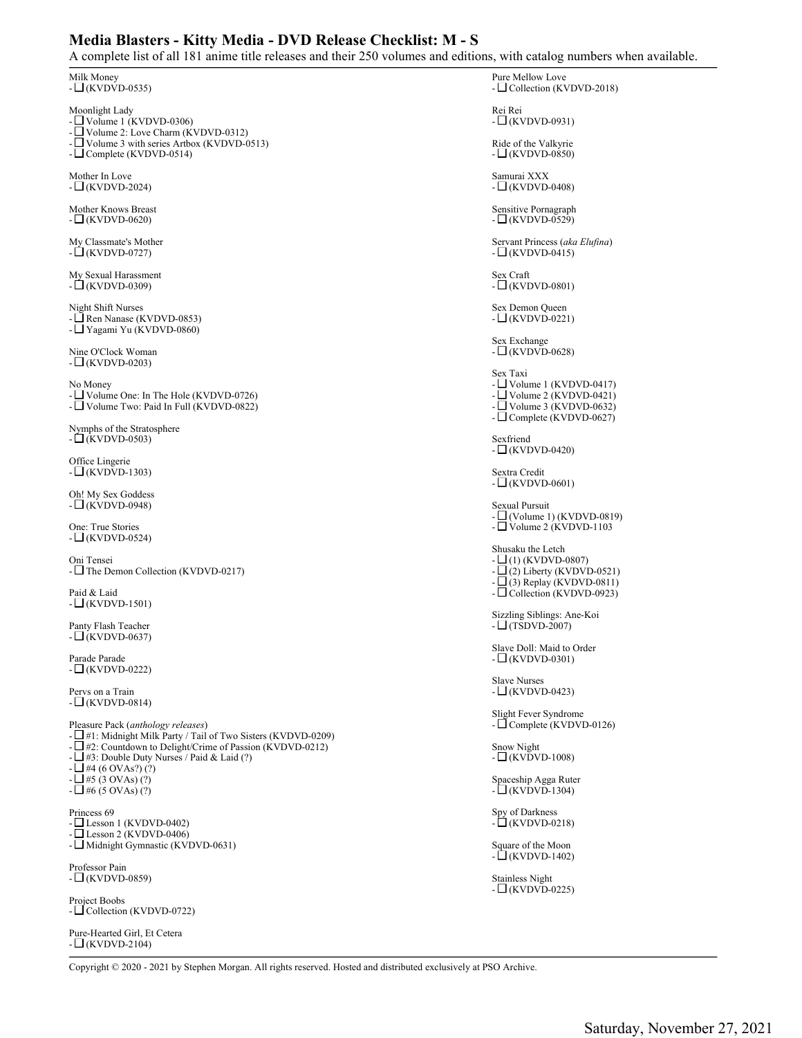## **Media Blasters - Kitty Media - DVD Release Checklist: M - S**

A complete list of all 181 anime title releases and their 250 volumes and editions, with catalog numbers when available.

| $\frac{1}{2}$ and $\frac{1}{2}$ and $\frac{1}{2}$ and $\frac{1}{2}$ and $\frac{1}{2}$ and $\frac{1}{2}$ and $\frac{1}{2}$ and $\frac{1}{2}$ and $\frac{1}{2}$ | max<br>THEFT AT ALL AND THE TANK THE TALK THE TALK THE TALK THE TALK THE TALK THE TALK THE TALK THE TALK THE TALK THE                                                              |
|---------------------------------------------------------------------------------------------------------------------------------------------------------------|------------------------------------------------------------------------------------------------------------------------------------------------------------------------------------|
| Milk Money                                                                                                                                                    | Pure Mellow Love                                                                                                                                                                   |
| $-L(KVDVD-0535)$                                                                                                                                              | - $\Box$ Collection (KVDVD-2018)                                                                                                                                                   |
| Moonlight Lady<br>- $\Box$ Volume 1 (KVDVD-0306)<br>- $\Box$ Volume 2: Love Charm (KVDVD-0312)                                                                | Rei Rei<br>$-L(KVDVD-0931)$                                                                                                                                                        |
| - $\Box$ Volume 3 with series Artbox (KVDVD-0513)                                                                                                             | Ride of the Valkyrie                                                                                                                                                               |
| $-L$ Complete (KVDVD-0514)                                                                                                                                    | $-L(KVDVD-0850)$                                                                                                                                                                   |
| Mother In Love                                                                                                                                                | Samurai XXX                                                                                                                                                                        |
| $-L$ (KVDVD-2024)                                                                                                                                             | $-L(KVDVD-0408)$                                                                                                                                                                   |
| Mother Knows Breast                                                                                                                                           | Sensitive Pornagraph                                                                                                                                                               |
| $-L$ (KVDVD-0620)                                                                                                                                             | $-\square$ (KVDVD-0529)                                                                                                                                                            |
| My Classmate's Mother                                                                                                                                         | Servant Princess (aka Elufina)                                                                                                                                                     |
| $-\Box$ (KVDVD-0727)                                                                                                                                          | $-L(KVDVD-0415)$                                                                                                                                                                   |
| My Sexual Harassment                                                                                                                                          | Sex Craft                                                                                                                                                                          |
| $-\Box$ (KVDVD-0309)                                                                                                                                          | $-L(KVDVD-0801)$                                                                                                                                                                   |
| Night Shift Nurses<br>- $\Box$ Ren Nanase (KVDVD-0853)<br>- TYagami Yu (KVDVD-0860)                                                                           | Sex Demon Queen<br>$-\square$ (KVDVD-0221)                                                                                                                                         |
| Nine O'Clock Woman                                                                                                                                            | Sex Exchange                                                                                                                                                                       |
| $-L$ (KVDVD-0203)                                                                                                                                             | $-\square$ (KVDVD-0628)                                                                                                                                                            |
| No Money<br>- $\Box$ Volume One: In The Hole (KVDVD-0726)<br>- $\Box$ Volume Two: Paid In Full (KVDVD-0822)                                                   | Sex Taxi<br>- $\Box$ Volume 1 (KVDVD-0417)<br>- $\Box$ Volume 2 (KVDVD-0421)<br>- $\Box$ Volume 3 (KVDVD-0632)<br>- $\Box$ Complete (KVDVD-0627)                                   |
| Nymphs of the Stratosphere                                                                                                                                    | Sexfriend                                                                                                                                                                          |
| $-L(KVDVD-0503)$                                                                                                                                              | $-L(KVDVD-0420)$                                                                                                                                                                   |
| Office Lingerie                                                                                                                                               | Sextra Credit                                                                                                                                                                      |
| $-\square$ (KVDVD-1303)                                                                                                                                       | $-\square$ (KVDVD-0601)                                                                                                                                                            |
| Oh! My Sex Goddess                                                                                                                                            | Sexual Pursuit                                                                                                                                                                     |
| $-\Box$ (KVDVD-0948)                                                                                                                                          | - $\Box$ (Volume 1) (KVDVD-0819)                                                                                                                                                   |
| One: True Stories<br>$-L(KVDVD-0524)$                                                                                                                         | - $\Box$ Volume 2 (KVDVD-1103                                                                                                                                                      |
| Oni Tensei<br>- $\Box$ The Demon Collection (KVDVD-0217)                                                                                                      | Shusaku the Letch<br>$-L(1)$ (KVDVD-0807)<br>$-\Box$ (2) Liberty (KVDVD-0521)<br>$-\Box$ (3) Replay (KVDVD-0811)<br>- $\Box$ Collection (KVDVD-0923)<br>Sizzling Siblings: Ane-Koi |
| Paid & Laid<br>$-L(KVDVD-1501)$                                                                                                                               |                                                                                                                                                                                    |
| Panty Flash Teacher                                                                                                                                           | $-L$ (TSDVD-2007)                                                                                                                                                                  |
| $-L$ (KVDVD-0637)                                                                                                                                             | Slave Doll: Maid to Order                                                                                                                                                          |
| Parade Parade<br>$-\square$ (KVDVD-0222)                                                                                                                      | $-L(KVDVD-0301)$                                                                                                                                                                   |
| Pervs on a Train                                                                                                                                              | <b>Slave Nurses</b>                                                                                                                                                                |
| $-L$ (KVDVD-0814)                                                                                                                                             | $-\square$ (KVDVD-0423)                                                                                                                                                            |
| Pleasure Pack (anthology releases)                                                                                                                            | Slight Fever Syndrome                                                                                                                                                              |
| $-\Box$ #1: Midnight Milk Party / Tail of Two Sisters (KVDVD-0209)                                                                                            | - $\Box$ Complete (KVDVD-0126)                                                                                                                                                     |
| $-\Box$ #2: Countdown to Delight/Crime of Passion (KVDVD-0212)<br>$-\Box$ #3: Double Duty Nurses / Paid & Laid (?)<br>$-LH_{4}$ (6 OVAs?) (?)                 | Snow Night<br>$-\Box$ (KVDVD-1008)                                                                                                                                                 |
| $- \Box \# 5$ (3 OVAs) (?)                                                                                                                                    | Spaceship Agga Ruter                                                                                                                                                               |
| $- \Box$ #6 (5 OVAs) (?)                                                                                                                                      | $-L(KVDVD-1304)$                                                                                                                                                                   |
| Princess 69                                                                                                                                                   | Spy of Darkness                                                                                                                                                                    |
| - $\Box$ Lesson 1 (KVDVD-0402)                                                                                                                                | $-\Box$ (KVDVD-0218)                                                                                                                                                               |
| - $\Box$ Lesson 2 (KVDVD-0406)                                                                                                                                | Square of the Moon                                                                                                                                                                 |
| - $\Box$ Midnight Gymnastic (KVDVD-0631)                                                                                                                      | $-L(KVDVD-1402)$                                                                                                                                                                   |
| Professor Pain                                                                                                                                                | Stainless Night                                                                                                                                                                    |
| $-\Box$ (KVDVD-0859)                                                                                                                                          | $-L(KVDVD-0225)$                                                                                                                                                                   |
| Project Boobs<br>- $\Box$ Collection (KVDVD-0722)                                                                                                             |                                                                                                                                                                                    |
| Pure-Hearted Girl, Et Cetera                                                                                                                                  |                                                                                                                                                                                    |

- (KVDVD-2104)

Copyright © 2020 - 2021 by Stephen Morgan. All rights reserved. Hosted and distributed exclusively at PSO Archive.